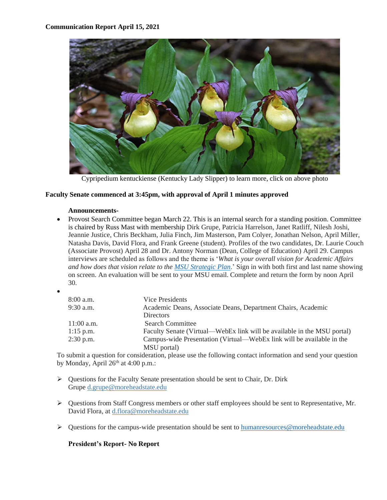

Cypripedium kentuckiense (Kentucky Lady Slipper) to learn more, click on above photo

#### **Faculty Senate commenced at 3:45pm, with approval of April 1 minutes approved**

#### **Announcements-**

- Provost Search Committee began March 22. This is an internal search for a standing position. Committee is chaired by Russ Mast with membership Dirk Grupe, Patricia Harrelson, Janet Ratliff, Nilesh Joshi, Jeannie Justice, Chris Beckham, Julia Finch, Jim Masterson, Pam Colyer, Jonathan Nelson, April Miller, Natasha Davis, David Flora, and Frank Greene (student). Profiles of the two candidates, Dr. Laurie Couch (Associate Provost) April 28 and Dr. Antony Norman (Dean, College of Education) April 29. Campus interviews are scheduled as follows and the theme is '*What is your overall vision for Academic Affairs and how does that vision relate to the [MSU Strategic Plan](https://www.moreheadstate.edu/strategicplan)*.' Sign in with both first and last name showing on screen. An evaluation will be sent to your MSU email. Complete and return the form by noon April 30.
- •

| 8:00 a.m.    | Vice Presidents                                                         |
|--------------|-------------------------------------------------------------------------|
| 9:30 a.m.    | Academic Deans, Associate Deans, Department Chairs, Academic            |
|              | <b>Directors</b>                                                        |
| $11:00$ a.m. | <b>Search Committee</b>                                                 |
| $1:15$ p.m.  | Faculty Senate (Virtual—WebEx link will be available in the MSU portal) |
| $2:30$ p.m.  | Campus-wide Presentation (Virtual—WebEx link will be available in the   |
|              | MSU portal)                                                             |

To submit a question for consideration, please use the following contact information and send your question by Monday, April  $26<sup>th</sup>$  at 4:00 p.m.:

- ➢ Questions for the Faculty Senate presentation should be sent to Chair, Dr. Dirk Grupe [d.grupe@moreheadstate.edu](mailto:d.grupe@moreheadstate.edu)
- ➢ Questions from Staff Congress members or other staff employees should be sent to Representative, Mr. David Flora, at [d.flora@moreheadstate.edu](mailto:d.flora@moreheadstate.edu)
- ➢ Questions for the campus-wide presentation should be sent to [humanresources@moreheadstate.edu](mailto:humanresources@moreheadstate.edu)

# **President's Report- No Report**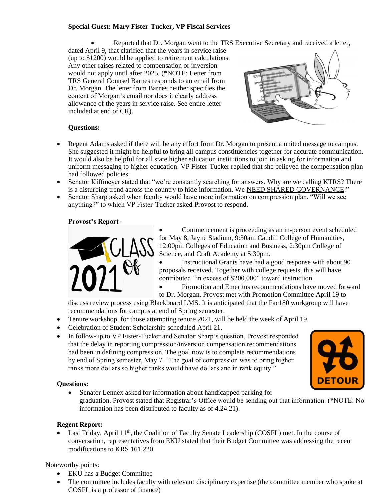# **Special Guest: Mary Fister-Tucker, VP Fiscal Services**

• Reported that Dr. Morgan went to the TRS Executive Secretary and received a letter,

dated April 9, that clarified that the years in service raise (up to  $\hat{\text{1200}}$ ) would be applied to retirement calculations. Any other raises related to compensation or inversion would not apply until after 2025. (\*NOTE: Letter from TRS General Counsel Barnes responds to an email from Dr. Morgan. The letter from Barnes neither specifies the content of Morgan's email nor does it clearly address allowance of the years in service raise. See entire letter included at end of CR).



#### **Questions:**

- Regent Adams asked if there will be any effort from Dr. Morgan to present a united message to campus. She suggested it might be helpful to bring all campus constituencies together for accurate communication. It would also be helpful for all state higher education institutions to join in asking for information and uniform messaging to higher education. VP Fister-Tucker replied that she believed the compensation plan had followed policies.
- Senator Kiffmeyer stated that "we're constantly searching for answers. Why are we calling KTRS? There is a disturbing trend across the country to hide information. We NEED SHARED GOVERNANCE."
- Senator Sharp asked when faculty would have more information on compression plan. "Will we see anything?" to which VP Fister-Tucker asked Provost to respond.

#### **Provost's Report-**



Commencement is proceeding as an in-person event scheduled for May 8, Jayne Stadium, 9:30am Caudill College of Humanities, 12:00pm Colleges of Education and Business, 2:30pm College of Science, and Craft Academy at 5:30pm.

• Instructional Grants have had a good response with about 90 proposals received. Together with college requests, this will have contributed "in excess of \$200,000" toward instruction.

• Promotion and Emeritus recommendations have moved forward

to Dr. Morgan. Provost met with Promotion Committee April 19 to discuss review process using Blackboard LMS. It is anticipated that the Fac180 workgroup will have

recommendations for campus at end of Spring semester. • Tenure workshop, for those attempting tenure 2021, will be held the week of April 19.

- Celebration of Student Scholarship scheduled April 21.
- In follow-up to VP Fister-Tucker and Senator Sharp's question, Provost responded that the delay in reporting compression/inversion compensation recommendations had been in defining compression. The goal now is to complete recommendations by end of Spring semester, May 7. "The goal of compression was to bring higher ranks more dollars so higher ranks would have dollars and in rank equity."



# **Questions:**

• Senator Lennex asked for information about handicapped parking for graduation. Provost stated that Registrar's Office would be sending out that information. (\*NOTE: No information has been distributed to faculty as of 4.24.21).

# **Regent Report:**

• Last Friday, April  $11<sup>th</sup>$ , the Coalition of Faculty Senate Leadership (COSFL) met. In the course of conversation, representatives from EKU stated that their Budget Committee was addressing the recent modifications to KRS 161.220.

Noteworthy points:

- EKU has a Budget Committee
- The committee includes faculty with relevant disciplinary expertise (the committee member who spoke at COSFL is a professor of finance)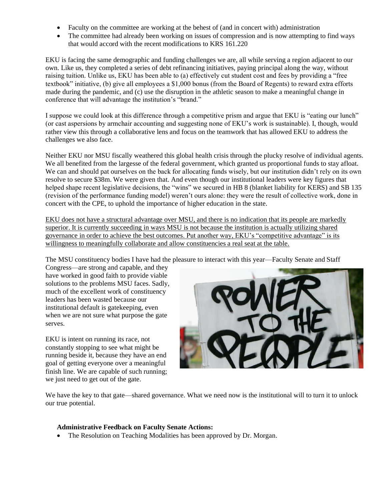- Faculty on the committee are working at the behest of (and in concert with) administration
- The committee had already been working on issues of compression and is now attempting to find ways that would accord with the recent modifications to KRS 161.220

EKU is facing the same demographic and funding challenges we are, all while serving a region adjacent to our own. Like us, they completed a series of debt refinancing initiatives, paying principal along the way, without raising tuition. Unlike us, EKU has been able to (a) effectively cut student cost and fees by providing a "free textbook" initiative, (b) give all employees a \$1,000 bonus (from the Board of Regents) to reward extra efforts made during the pandemic, and (c) use the disruption in the athletic season to make a meaningful change in conference that will advantage the institution's "brand."

I suppose we could look at this difference through a competitive prism and argue that EKU is "eating our lunch" (or cast aspersions by armchair accounting and suggesting none of EKU's work is sustainable). I, though, would rather view this through a collaborative lens and focus on the teamwork that has allowed EKU to address the challenges we also face.

Neither EKU nor MSU fiscally weathered this global health crisis through the plucky resolve of individual agents. We all benefited from the largesse of the federal government, which granted us proportional funds to stay afloat. We can and should pat ourselves on the back for allocating funds wisely, but our institution didn't rely on its own resolve to secure \$38m. We were given that. And even though our institutional leaders were key figures that helped shape recent legislative decisions, the "wins" we secured in HB 8 (blanket liability for KERS) and SB 135 (revision of the performance funding model) weren't ours alone: they were the result of collective work, done in concert with the CPE, to uphold the importance of higher education in the state.

EKU does not have a structural advantage over MSU, and there is no indication that its people are markedly superior. It is currently succeeding in ways MSU is not because the institution is actually utilizing shared governance in order to achieve the best outcomes. Put another way, EKU's "competitive advantage" is its willingness to meaningfully collaborate and allow constituencies a real seat at the table.

The MSU constituency bodies I have had the pleasure to interact with this year—Faculty Senate and Staff

Congress—are strong and capable, and they have worked in good faith to provide viable solutions to the problems MSU faces. Sadly, much of the excellent work of constituency leaders has been wasted because our institutional default is gatekeeping, even when we are not sure what purpose the gate serves.

EKU is intent on running its race, not constantly stopping to see what might be running beside it, because they have an end goal of getting everyone over a meaningful finish line. We are capable of such running; we just need to get out of the gate.



We have the key to that gate—shared governance. What we need now is the institutional will to turn it to unlock our true potential.

#### **Administrative Feedback on Faculty Senate Actions:**

• The Resolution on Teaching Modalities has been approved by Dr. Morgan.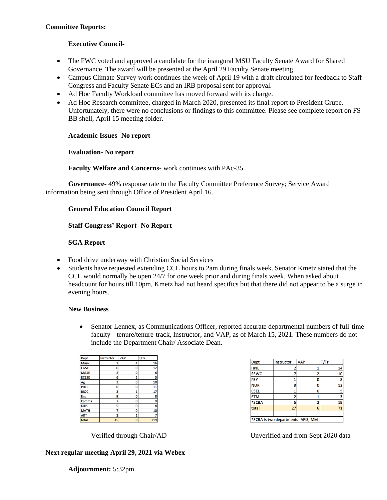#### **Committee Reports:**

# **Executive Council-**

- The FWC voted and approved a candidate for the inaugural MSU Faculty Senate Award for Shared Governance. The award will be presented at the April 29 Faculty Senate meeting.
- Campus Climate Survey work continues the week of April 19 with a draft circulated for feedback to Staff Congress and Faculty Senate ECs and an IRB proposal sent for approval.
- Ad Hoc Faculty Workload committee has moved forward with its charge.
- Ad Hoc Research committee, charged in March 2020, presented its final report to President Grupe. Unfortunately, there were no conclusions or findings to this committee. Please see complete report on FS BB shell, April 15 meeting folder.

#### **Academic Issues- No report**

#### **Evaluation- No report**

#### **Faculty Welfare and Concerns-** work continues with PAc-35.

**Governance-** 49% response rate to the Faculty Committee Preference Survey; Service Award information being sent through Office of President April 16.

#### **General Education Council Report**

#### **Staff Congress' Report- No Report**

#### **SGA Report**

- Food drive underway with Christian Social Services
- Students have requested extending CCL hours to 2am during finals week. Senator Kmetz stated that the CCL would normally be open 24/7 for one week prior and during finals week. When asked about headcount for hours till 10pm, Kmetz had not heard specifics but that there did not appear to be a surge in evening hours.

#### **New Business**

• Senator Lennex, as Communications Officer, reported accurate departmental numbers of full-time faculty --tenure/tenure-track, Instructor, and VAP, as of March 15, 2021. These numbers do not include the Department Chair/ Associate Dean.

| Dept         | Instructor     | <b>VAP</b>     | T/Tr |
|--------------|----------------|----------------|------|
| <b>Music</b> |                | 4              | 16   |
| <b>FGSE</b>  | 0              | 0              | 12   |
| <b>MGSE</b>  | $\overline{2}$ | 0              | 6    |
| <b>ECESE</b> | 6              | $\overline{2}$ | 5    |
| Ag           | 3              | 0              | 10   |
| <b>PHES</b>  | 0              | 0              | 11   |
| <b>BIOC</b>  | 3              | 1              | 17   |
| Eng          | 9              | 0              | 8    |
| Comms        | 7              | ٥              | 9    |
| <b>KHIS</b>  | 5              | 0              | 8    |
| <b>MATH</b>  | 7              | 0              | 10   |
| <b>ART</b>   | 2              | $\mathbf{1}$   | 7    |
| total        | 45             | 8 <sup>1</sup> | 119  |

Dept Instructor **VAP** T/Tr **HPIL** 14  $\mathbf 1$  $\overline{2}$ sswc  $\overline{7}$  $\overline{2}$  $\overline{10}$  $\overline{1}$  $\overline{\mathfrak{o}}$ **PSY** 8  $\overline{9}$  $\overline{12}$ **NUR**  $\boldsymbol{\mathsf{o}}$  $\frac{1}{1}$  $\overline{\phantom{a}}$  $\overline{\mathbf{0}}$ **CSEL**  $\overline{2}$ **ETM**  $\mathbf{1}$  $\mathbf{3}$ \*SCBA  $\overline{5}$  $\overline{2}$ 19  $27$  ${\bf 71}$ total  $6<sup>1</sup>$ \*SCBA is two departments- AFIS, MM

# Verified through Chair/AD Unverified and from Sept 2020 data

# **Next regular meeting April 29, 2021 via Webex**

**Adjournment:** 5:32pm